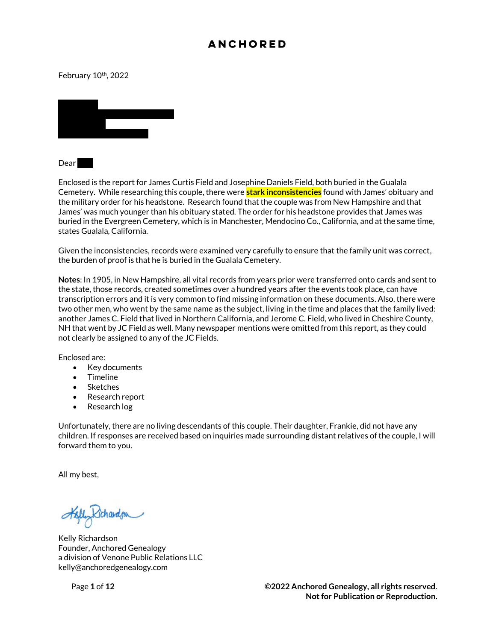#### February 10<sup>th</sup>, 2022



 $Dear$ 

Enclosed is the report for James Curtis Field and Josephine Daniels Field, both buried in the Gualala Cemetery. While researching this couple, there were **stark inconsistencies** found with James' obituary and the military order for his headstone. Research found that the couple was from New Hampshire and that James' was much younger than his obituary stated. The order for his headstone provides that James was buried in the Evergreen Cemetery, which is in Manchester, Mendocino Co., California, and at the same time, states Gualala, California.

Given the inconsistencies, records were examined very carefully to ensure that the family unit was correct, the burden of proof is that he is buried in the Gualala Cemetery.

**Notes**: In 1905, in New Hampshire, all vital records from years prior were transferred onto cards and sent to the state, those records, created sometimes over a hundred years after the events took place, can have transcription errors and it is very common to find missing information on these documents. Also, there were two other men, who went by the same name as the subject, living in the time and places that the family lived: another James C. Field that lived in Northern California, and Jerome C. Field, who lived in Cheshire County, NH that went by JC Field as well. Many newspaper mentions were omitted from this report, as they could not clearly be assigned to any of the JC Fields.

Enclosed are:

- Key documents
- Timeline
- Sketches
- Research report
- Research log

Unfortunately, there are no living descendants of this couple. Their daughter, Frankie, did not have any children. If responses are received based on inquiries made surrounding distant relatives of the couple, I will forward them to you.

All my best,

Kichardson

Kelly Richardson Founder, Anchored Genealogy a division of Venone Public Relations LLC kelly@anchoredgenealogy.com

Page **1** of **12 ©2022 Anchored Genealogy, all rights reserved. Not for Publication or Reproduction.**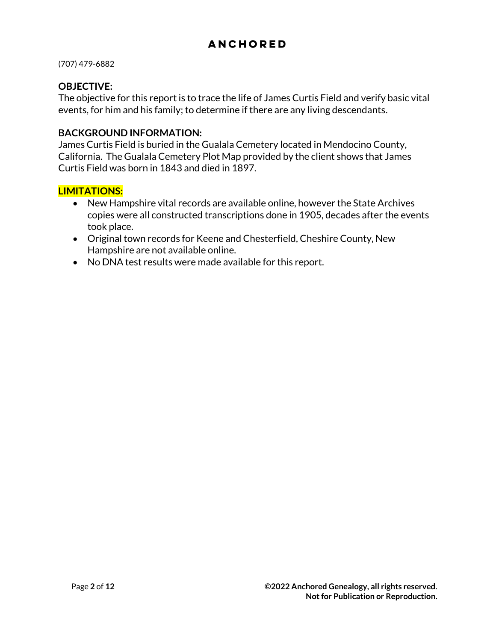(707) 479-6882

#### **OBJECTIVE:**

The objective for this report is to trace the life of James Curtis Field and verify basic vital events, for him and his family; to determine if there are any living descendants.

#### **BACKGROUND INFORMATION:**

James Curtis Field is buried in the Gualala Cemetery located in Mendocino County, California. The Gualala Cemetery Plot Map provided by the client shows that James Curtis Field was born in 1843 and died in 1897.

#### **LIMITATIONS:**

- New Hampshire vital records are available online, however the State Archives copies were all constructed transcriptions done in 1905, decades after the events took place.
- Original town records for Keene and Chesterfield, Cheshire County, New Hampshire are not available online.
- No DNA test results were made available for this report.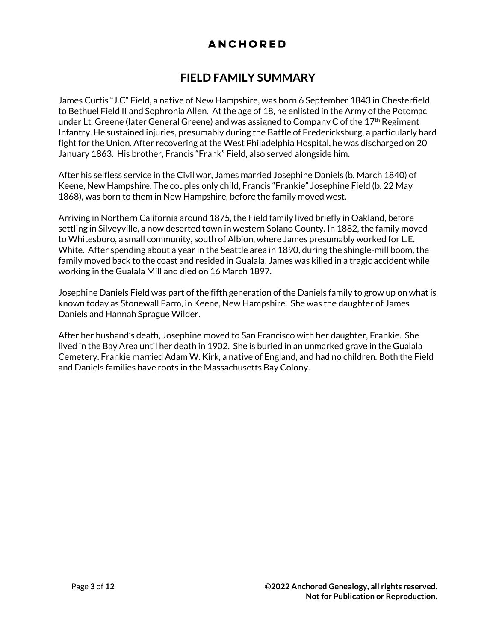## **FIELD FAMILY SUMMARY**

James Curtis "J.C" Field, a native of New Hampshire, was born 6 September 1843 in Chesterfield to Bethuel Field II and Sophronia Allen. At the age of 18, he enlisted in the Army of the Potomac under Lt. Greene (later General Greene) and was assigned to Company C of the  $17<sup>th</sup>$  Regiment Infantry. He sustained injuries, presumably during the Battle of Fredericksburg, a particularly hard fight for the Union. After recovering at the West Philadelphia Hospital, he was discharged on 20 January 1863. His brother, Francis "Frank" Field, also served alongside him.

After his selfless service in the Civil war, James married Josephine Daniels (b. March 1840) of Keene, New Hampshire. The couples only child, Francis "Frankie" Josephine Field (b. 22 May 1868), was born to them in New Hampshire, before the family moved west.

Arriving in Northern California around 1875, the Field family lived briefly in Oakland, before settling in Silveyville, a now deserted town in western Solano County. In 1882, the family moved to Whitesboro, a small community, south of Albion, where James presumably worked for L.E. White. After spending about a year in the Seattle area in 1890, during the shingle-mill boom, the family moved back to the coast and resided in Gualala. James was killed in a tragic accident while working in the Gualala Mill and died on 16 March 1897.

Josephine Daniels Field was part of the fifth generation of the Daniels family to grow up on what is known today as Stonewall Farm, in Keene, New Hampshire. She was the daughter of James Daniels and Hannah Sprague Wilder.

After her husband's death, Josephine moved to San Francisco with her daughter, Frankie. She lived in the Bay Area until her death in 1902. She is buried in an unmarked grave in the Gualala Cemetery. Frankie married Adam W. Kirk, a native of England, and had no children. Both the Field and Daniels families have roots in the Massachusetts Bay Colony.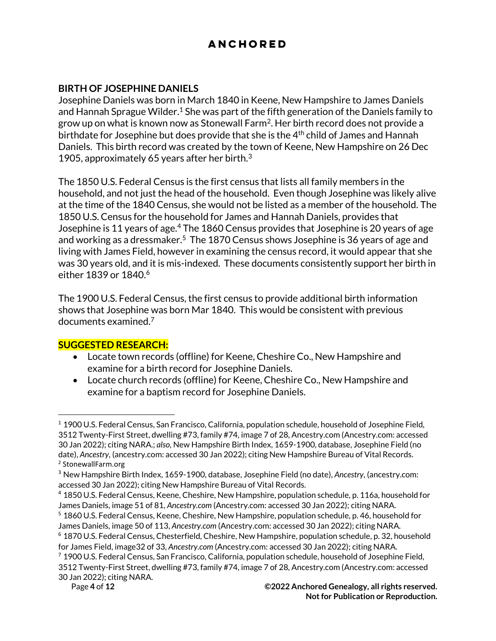### **BIRTH OF JOSEPHINE DANIELS**

Josephine Daniels was born in March 1840 in Keene, New Hampshire to James Daniels and Hannah Sprague Wilder.<sup>1</sup> She was part of the fifth generation of the Daniels family to grow up on what is known now as Stonewall Farm<sup>2</sup>. Her birth record does not provide a birthdate for Josephine but does provide that she is the  $4<sup>th</sup>$  child of James and Hannah Daniels. This birth record was created by the town of Keene, New Hampshire on 26 Dec 1905, approximately 65 years after her birth. $3$ 

The 1850 U.S. Federal Census is the first census that lists all family members in the household, and not just the head of the household. Even though Josephine was likely alive at the time of the 1840 Census, she would not be listed as a member of the household. The 1850 U.S. Census for the household for James and Hannah Daniels, provides that Josephine is 11 years of age.<sup>4</sup> The 1860 Census provides that Josephine is 20 years of age and working as a dressmaker.<sup>5</sup> The 1870 Census shows Josephine is 36 years of age and living with James Field, however in examining the census record, it would appear that she was 30 years old, and it is mis-indexed. These documents consistently support her birth in either 1839 or 1840.<sup>6</sup>

The 1900 U.S. Federal Census, the first census to provide additional birth information shows that Josephine was born Mar 1840. This would be consistent with previous documents examined.<sup>7</sup>

### **SUGGESTED RESEARCH:**

- Locate town records (offline) for Keene, Cheshire Co., New Hampshire and examine for a birth record for Josephine Daniels.
- Locate church records (offline) for Keene, Cheshire Co., New Hampshire and examine for a baptism record for Josephine Daniels.

<sup>1</sup> 1900 U.S. Federal Census, San Francisco, California, population schedule, household of Josephine Field, 3512 Twenty-First Street, dwelling #73, family #74, image 7 of 28, Ancestry.com (Ancestry.com: accessed 30 Jan 2022); citing NARA.; *also,* New Hampshire Birth Index, 1659-1900, database, Josephine Field (no date), *Ancestry,* (ancestry.com: accessed 30 Jan 2022); citing New Hampshire Bureau of Vital Records. 2 StonewallFarm.org

<sup>3</sup> New Hampshire Birth Index, 1659-1900, database, Josephine Field (no date), *Ancestry,* (ancestry.com: accessed 30 Jan 2022); citing New Hampshire Bureau of Vital Records.

<sup>4</sup> 1850 U.S. Federal Census, Keene, Cheshire, New Hampshire, population schedule, p. 116a, household for James Daniels, image 51 of 81, *Ancestry.com* (Ancestry.com: accessed 30 Jan 2022); citing NARA.

<sup>5</sup> 1860 U.S. Federal Census, Keene, Cheshire, New Hampshire, population schedule, p. 46, household for James Daniels, image 50 of 113, *Ancestry.com* (Ancestry.com: accessed 30 Jan 2022); citing NARA. <sup>6</sup> 1870 U.S. Federal Census, Chesterfield, Cheshire, New Hampshire, population schedule, p. 32, household for James Field, image32 of 33, *Ancestry.com* (Ancestry.com: accessed 30 Jan 2022); citing NARA. <sup>7</sup> 1900 U.S. Federal Census, San Francisco, California, population schedule, household of Josephine Field, 3512 Twenty-First Street, dwelling #73, family #74, image 7 of 28, Ancestry.com (Ancestry.com: accessed 30 Jan 2022); citing NARA.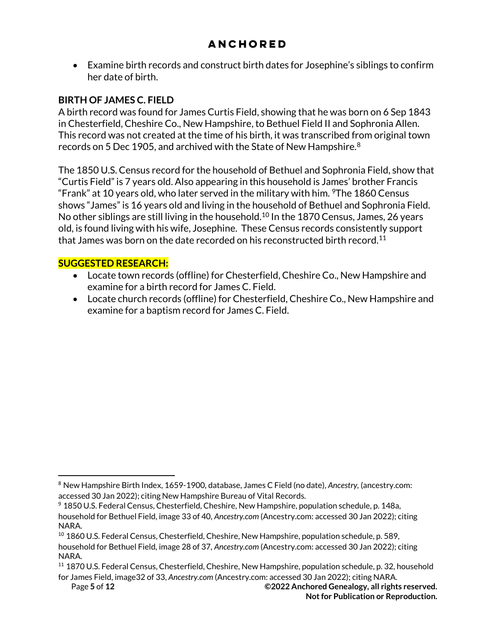• Examine birth records and construct birth dates for Josephine's siblings to confirm her date of birth.

## **BIRTH OF JAMES C. FIELD**

A birth record was found for James Curtis Field, showing that he was born on 6 Sep 1843 in Chesterfield, Cheshire Co., New Hampshire, to Bethuel Field II and Sophronia Allen. This record was not created at the time of his birth, it was transcribed from original town records on 5 Dec 1905, and archived with the State of New Hampshire.<sup>8</sup>

The 1850 U.S. Census record for the household of Bethuel and Sophronia Field, show that "Curtis Field" is 7 years old. Also appearing in this household is James' brother Francis "Frank" at 10 years old, who later served in the military with him.  $\textdegree$ The 1860 Census shows "James" is 16 years old and living in the household of Bethuel and Sophronia Field. No other siblings are still living in the household.<sup>10</sup> In the 1870 Census, James, 26 years old, is found living with his wife, Josephine. These Census records consistently support that James was born on the date recorded on his reconstructed birth record.<sup>11</sup>

## **SUGGESTED RESEARCH:**

- Locate town records (offline) for Chesterfield, Cheshire Co., New Hampshire and examine for a birth record for James C. Field.
- Locate church records (offline) for Chesterfield, Cheshire Co., New Hampshire and examine for a baptism record for James C. Field.

<sup>8</sup> New Hampshire Birth Index, 1659-1900, database, James C Field (no date), *Ancestry,* (ancestry.com: accessed 30 Jan 2022); citing New Hampshire Bureau of Vital Records.

<sup>9</sup> 1850 U.S. Federal Census, Chesterfield, Cheshire, New Hampshire, population schedule, p. 148a, household for Bethuel Field, image 33 of 40, *Ancestry.com* (Ancestry.com: accessed 30 Jan 2022); citing NARA.

<sup>10</sup> 1860 U.S. Federal Census, Chesterfield, Cheshire, New Hampshire, population schedule, p. 589, household for Bethuel Field, image 28 of 37, *Ancestry.com* (Ancestry.com: accessed 30 Jan 2022); citing NARA.

<sup>11</sup> 1870 U.S. Federal Census, Chesterfield, Cheshire, New Hampshire, population schedule, p. 32, household for James Field, image32 of 33, *Ancestry.com* (Ancestry.com: accessed 30 Jan 2022); citing NARA.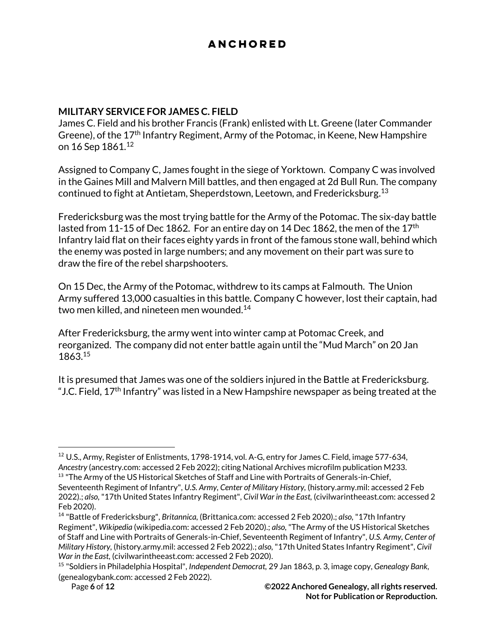#### **MILITARY SERVICE FOR JAMES C. FIELD**

James C. Field and his brother Francis (Frank) enlisted with Lt. Greene (later Commander Greene), of the 17th Infantry Regiment, Army of the Potomac, in Keene, New Hampshire on 16 Sep 1861.<sup>12</sup>

Assigned to Company C, James fought in the siege of Yorktown. Company C was involved in the Gaines Mill and Malvern Mill battles, and then engaged at 2d Bull Run. The company continued to fight at Antietam, Sheperdstown, Leetown, and Fredericksburg. $^{13}$ 

Fredericksburg was the most trying battle for the Army of the Potomac. The six-day battle lasted from 11-15 of Dec 1862. For an entire day on 14 Dec 1862, the men of the  $17<sup>th</sup>$ Infantry laid flat on their faces eighty yards in front of the famous stone wall, behind which the enemy was posted in large numbers; and any movement on their part was sure to draw the fire of the rebel sharpshooters.

On 15 Dec, the Army of the Potomac, withdrew to its camps at Falmouth. The Union Army suffered 13,000 casualties in this battle. Company C however, lost their captain, had two men killed, and nineteen men wounded.<sup>14</sup>

After Fredericksburg, the army went into winter camp at Potomac Creek, and reorganized. The company did not enter battle again until the "Mud March" on 20 Jan 1863.<sup>15</sup>

It is presumed that James was one of the soldiers injured in the Battle at Fredericksburg. "J.C. Field,  $17<sup>th</sup>$  Infantry" was listed in a New Hampshire newspaper as being treated at the

<sup>12</sup> U.S., Army, Register of Enlistments, 1798-1914, vol. A-G, entry for James C. Field, image 577-634, *Ancestry* (ancestry.com: accessed 2 Feb 2022); citing National Archives microfilm publication M233. <sup>13</sup> "The Army of the US Historical Sketches of Staff and Line with Portraits of Generals-in-Chief,

Seventeenth Regiment of Infantry", *U.S. Army, Center of Military History,* (history.army.mil: accessed 2 Feb 2022).; *also,* "17th United States Infantry Regiment", *Civil War in the East,* (civilwarintheeast.com: accessed 2 Feb 2020).

<sup>14</sup> "Battle of Fredericksburg", *Britannica,* (Brittanica.com: accessed 2 Feb 2020).; *also,* "17th Infantry Regiment", *Wikipedia* (wikipedia.com: accessed 2 Feb 2020).; *also,* "The Army of the US Historical Sketches of Staff and Line with Portraits of Generals-in-Chief, Seventeenth Regiment of Infantry", *U.S. Army, Center of Military History,* (history.army.mil: accessed 2 Feb 2022).; *also,* "17th United States Infantry Regiment", *Civil War in the East,* (civilwarintheeast.com: accessed 2 Feb 2020).

<sup>15</sup> "Soldiers in Philadelphia Hospital", *Independent Democrat,* 29 Jan 1863, p. 3, image copy, *Genealogy Bank,*  (genealogybank.com: accessed 2 Feb 2022).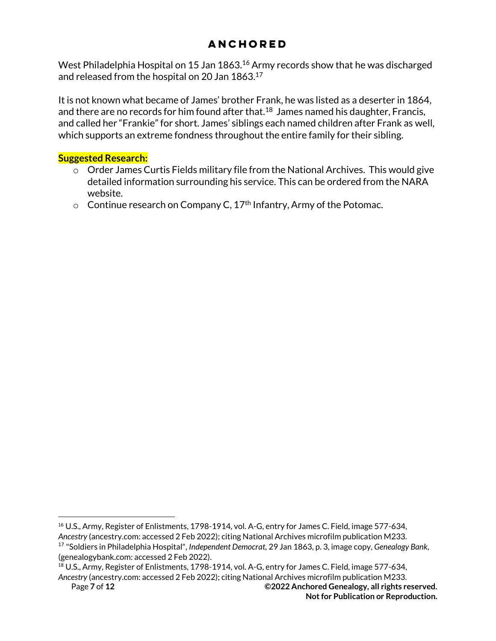West Philadelphia Hospital on 15 Jan 1863.<sup>16</sup> Army records show that he was discharged and released from the hospital on 20 Jan 1863.<sup>17</sup>

It is not known what became of James' brother Frank, he was listed as a deserter in 1864, and there are no records for him found after that. $^{18}$  James named his daughter, Francis, and called her "Frankie" for short. James' siblings each named children after Frank as well, which supports an extreme fondness throughout the entire family for their sibling.

### **Suggested Research:**

- $\circ$  Order James Curtis Fields military file from the National Archives. This would give detailed information surrounding his service. This can be ordered from the NARA website.
- $\circ$  Continue research on Company C, 17<sup>th</sup> Infantry, Army of the Potomac.

<sup>&</sup>lt;sup>16</sup> U.S., Army, Register of Enlistments, 1798-1914, vol. A-G, entry for James C. Field, image 577-634, *Ancestry* (ancestry.com: accessed 2 Feb 2022); citing National Archives microfilm publication M233. <sup>17</sup> "Soldiers in Philadelphia Hospital", *Independent Democrat,* 29 Jan 1863, p. 3, image copy, *Genealogy Bank,*  (genealogybank.com: accessed 2 Feb 2022).

<sup>&</sup>lt;sup>18</sup> U.S., Army, Register of Enlistments, 1798-1914, vol. A-G, entry for James C. Field, image 577-634, *Ancestry* (ancestry.com: accessed 2 Feb 2022); citing National Archives microfilm publication M233.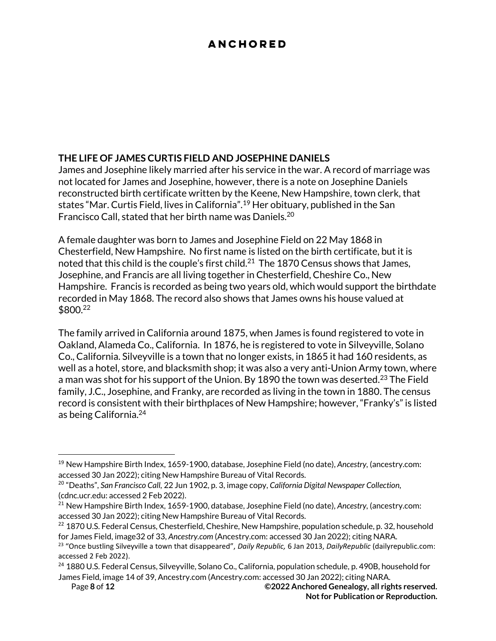### **THE LIFE OF JAMES CURTIS FIELD AND JOSEPHINE DANIELS**

James and Josephine likely married after his service in the war. A record of marriage was not located for James and Josephine, however, there is a note on Josephine Daniels reconstructed birth certificate written by the Keene, New Hampshire, town clerk, that states "Mar. Curtis Field, lives in California".<sup>19</sup> Her obituary, published in the San Francisco Call, stated that her birth name was Daniels.<sup>20</sup>

A female daughter was born to James and Josephine Field on 22 May 1868 in Chesterfield, New Hampshire. No first name is listed on the birth certificate, but it is noted that this child is the couple's first child.<sup>21</sup> The 1870 Census shows that James, Josephine, and Francis are all living together in Chesterfield, Cheshire Co., New Hampshire. Francis is recorded as being two years old, which would support the birthdate recorded in May 1868. The record also shows that James owns his house valued at \$800.<sup>22</sup>

The family arrived in California around 1875, when James is found registered to vote in Oakland, Alameda Co., California. In 1876, he is registered to vote in Silveyville, Solano Co., California. Silveyville is a town that no longer exists, in 1865 it had 160 residents, as well as a hotel, store, and blacksmith shop; it was also a very anti-Union Army town, where a man was shot for his support of the Union. By 1890 the town was deserted.<sup>23</sup> The Field family, J.C., Josephine, and Franky, are recorded as living in the town in 1880. The census record is consistent with their birthplaces of New Hampshire; however, "Franky's" is listed as being California.<sup>24</sup>

<sup>19</sup> New Hampshire Birth Index, 1659-1900, database, Josephine Field (no date), *Ancestry,* (ancestry.com: accessed 30 Jan 2022); citing New Hampshire Bureau of Vital Records.

<sup>20</sup> "Deaths", *San Francisco Call,* 22 Jun 1902, p. 3, image copy, *California Digital Newspaper Collection,*  (cdnc.ucr.edu: accessed 2 Feb 2022).

<sup>21</sup> New Hampshire Birth Index, 1659-1900, database, Josephine Field (no date), *Ancestry,* (ancestry.com: accessed 30 Jan 2022); citing New Hampshire Bureau of Vital Records.

 $^{22}$  1870 U.S. Federal Census, Chesterfield, Cheshire, New Hampshire, population schedule, p. 32, household for James Field, image32 of 33, *Ancestry.com* (Ancestry.com: accessed 30 Jan 2022); citing NARA.

<sup>23</sup> "Once bustling Silveyville a town that disappeared", *Daily Republic,* 6 Jan 2013, *DailyRepublic* (dailyrepublic.com: accessed 2 Feb 2022).

<sup>&</sup>lt;sup>24</sup> 1880 U.S. Federal Census, Silveyville, Solano Co., California, population schedule, p. 490B, household for James Field, image 14 of 39, Ancestry.com (Ancestry.com: accessed 30 Jan 2022); citing NARA.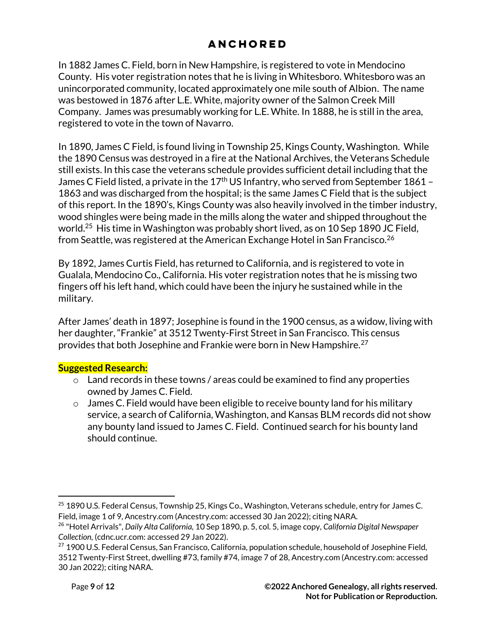In 1882 James C. Field, born in New Hampshire, is registered to vote in Mendocino County. His voter registration notes that he is living in Whitesboro. Whitesboro was an unincorporated community, located approximately one mile south of Albion. The name was bestowed in 1876 after L.E. White, majority owner of the Salmon Creek Mill Company. James was presumably working for L.E. White. In 1888, he is still in the area, registered to vote in the town of Navarro.

In 1890, James C Field, is found living in Township 25, Kings County, Washington. While the 1890 Census was destroyed in a fire at the National Archives, the Veterans Schedule still exists. In this case the veterans schedule provides sufficient detail including that the James C Field listed, a private in the  $17<sup>th</sup>$  US Infantry, who served from September 1861 – 1863 and was discharged from the hospital; is the same James C Field that is the subject of this report. In the 1890's, Kings County was also heavily involved in the timber industry, wood shingles were being made in the mills along the water and shipped throughout the world.<sup>25</sup> His time in Washington was probably short lived, as on 10 Sep 1890 JC Field, from Seattle, was registered at the American Exchange Hotel in San Francisco.<sup>26</sup>

By 1892, James Curtis Field, has returned to California, and is registered to vote in Gualala, Mendocino Co., California. His voter registration notes that he is missing two fingers off his left hand, which could have been the injury he sustained while in the military.

After James' death in 1897; Josephine is found in the 1900 census, as a widow, living with her daughter, "Frankie" at 3512 Twenty-First Street in San Francisco. This census provides that both Josephine and Frankie were born in New Hampshire.<sup>27</sup>

### **Suggested Research:**

- $\circ$  Land records in these towns / areas could be examined to find any properties owned by James C. Field.
- $\circ$  James C. Field would have been eligible to receive bounty land for his military service, a search of California, Washington, and Kansas BLM records did not show any bounty land issued to James C. Field. Continued search for his bounty land should continue.

<sup>&</sup>lt;sup>25</sup> 1890 U.S. Federal Census, Township 25, Kings Co., Washington, Veterans schedule, entry for James C. Field, image 1 of 9, Ancestry.com (Ancestry.com: accessed 30 Jan 2022); citing NARA.

<sup>26</sup> "Hotel Arrivals", *Daily Alta California,* 10 Sep 1890, p. 5, col. 5, image copy, *California Digital Newspaper Collection,* (cdnc.ucr.com: accessed 29 Jan 2022).

<sup>&</sup>lt;sup>27</sup> 1900 U.S. Federal Census, San Francisco, California, population schedule, household of Josephine Field, 3512 Twenty-First Street, dwelling #73, family #74, image 7 of 28, Ancestry.com (Ancestry.com: accessed 30 Jan 2022); citing NARA.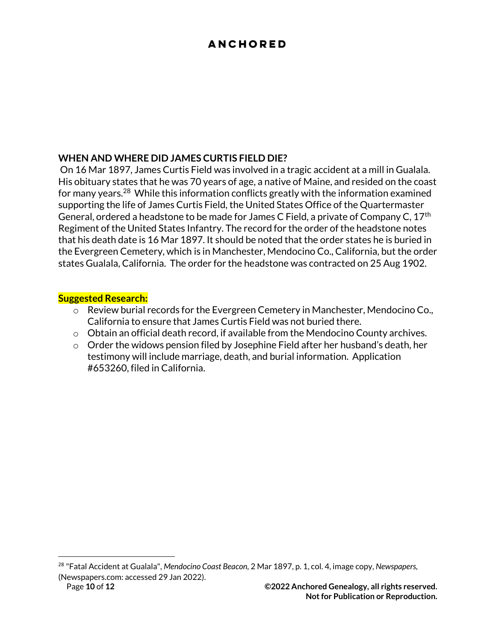### **WHEN AND WHERE DID JAMES CURTIS FIELD DIE?**

On 16 Mar 1897, James Curtis Field was involved in a tragic accident at a mill in Gualala. His obituary states that he was 70 years of age, a native of Maine, and resided on the coast for many years.<sup>28</sup> While this information conflicts greatly with the information examined supporting the life of James Curtis Field, the United States Office of the Quartermaster General, ordered a headstone to be made for James C Field, a private of Company C, 17<sup>th</sup> Regiment of the United States Infantry. The record for the order of the headstone notes that his death date is 16 Mar 1897. It should be noted that the order states he is buried in the Evergreen Cemetery, which is in Manchester, Mendocino Co., California, but the order states Gualala, California. The order for the headstone was contracted on 25 Aug 1902.

#### **Suggested Research:**

- o Review burial records for the Evergreen Cemetery in Manchester, Mendocino Co., California to ensure that James Curtis Field was not buried there.
- o Obtain an official death record, if available from the Mendocino County archives.
- $\circ$  Order the widows pension filed by Josephine Field after her husband's death, her testimony will include marriage, death, and burial information. Application #653260, filed in California.

<sup>28</sup> "Fatal Accident at Gualala", *Mendocino Coast Beacon,* 2 Mar 1897, p. 1, col. 4, image copy, *Newspapers,*  (Newspapers.com: accessed 29 Jan 2022).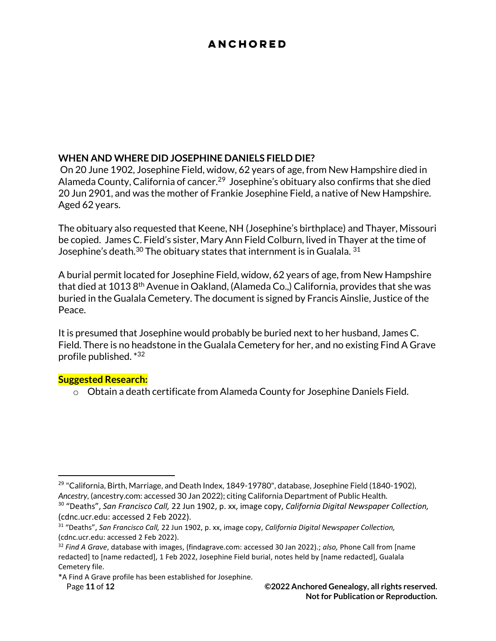### **WHEN AND WHERE DID JOSEPHINE DANIELS FIELD DIE?**

On 20 June 1902, Josephine Field, widow, 62 years of age, from New Hampshire died in Alameda County, California of cancer.<sup>29</sup> Josephine's obituary also confirms that she died 20 Jun 2901, and was the mother of Frankie Josephine Field, a native of New Hampshire. Aged 62 years.

The obituary also requested that Keene, NH (Josephine's birthplace) and Thayer, Missouri be copied. James C. Field's sister, Mary Ann Field Colburn, lived in Thayer at the time of Josephine's death.<sup>30</sup> The obituary states that internment is in Gualala. <sup>31</sup>

A burial permit located for Josephine Field, widow, 62 years of age, from New Hampshire that died at 1013 8<sup>th</sup> Avenue in Oakland, (Alameda Co.,) California, provides that she was buried in the Gualala Cemetery. The document is signed by Francis Ainslie, Justice of the Peace.

It is presumed that Josephine would probably be buried next to her husband, James C. Field. There is no headstone in the Gualala Cemetery for her, and no existing Find A Grave profile published. \*<sup>32</sup>

#### **Suggested Research:**

o Obtain a death certificate from Alameda County for Josephine Daniels Field.

Page **11** of **12 ©2022 Anchored Genealogy, all rights reserved. Not for Publication or Reproduction.**

 $29$  "California, Birth, Marriage, and Death Index, 1849-19780", database, Josephine Field (1840-1902), *Ancestry,* (ancestry.com: accessed 30 Jan 2022); citing California Department of Public Health.

<sup>30</sup> "Deaths", *San Francisco Call,* 22 Jun 1902, p. xx, image copy, *California Digital Newspaper Collection,*  (cdnc.ucr.edu: accessed 2 Feb 2022).

<sup>31</sup> "Deaths", *San Francisco Call,* 22 Jun 1902, p. xx, image copy, *California Digital Newspaper Collection,*  (cdnc.ucr.edu: accessed 2 Feb 2022).

<sup>32</sup> *Find A Grave*, database with images, (findagrave.com: accessed 30 Jan 2022).; *also,* Phone Call from [name redacted] to [name redacted], 1 Feb 2022, Josephine Field burial, notes held by [name redacted], Gualala Cemetery file.

<sup>\*</sup>A Find A Grave profile has been established for Josephine.